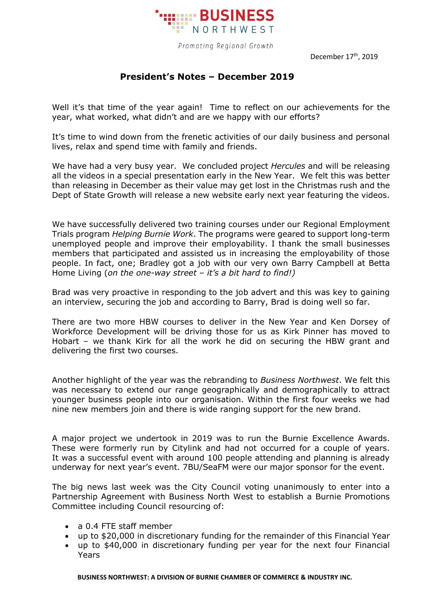

Promoting Regional Growth

December 17<sup>th</sup>, 2019

## **President's Notes – December 2019**

Well it's that time of the year again! Time to reflect on our achievements for the year, what worked, what didn't and are we happy with our efforts?

It's time to wind down from the frenetic activities of our daily business and personal lives, relax and spend time with family and friends.

We have had a very busy year. We concluded project *Hercules* and will be releasing all the videos in a special presentation early in the New Year. We felt this was better than releasing in December as their value may get lost in the Christmas rush and the Dept of State Growth will release a new website early next year featuring the videos.

We have successfully delivered two training courses under our Regional Employment Trials program *Helping Burnie Work*. The programs were geared to support long-term unemployed people and improve their employability. I thank the small businesses members that participated and assisted us in increasing the employability of those people. In fact, one; Bradley got a job with our very own Barry Campbell at Betta Home Living (*on the one-way street – it's a bit hard to find!)*

Brad was very proactive in responding to the job advert and this was key to gaining an interview, securing the job and according to Barry, Brad is doing well so far.

There are two more HBW courses to deliver in the New Year and Ken Dorsey of Workforce Development will be driving those for us as Kirk Pinner has moved to Hobart – we thank Kirk for all the work he did on securing the HBW grant and delivering the first two courses.

Another highlight of the year was the rebranding to *Business Northwest*. We felt this was necessary to extend our range geographically and demographically to attract younger business people into our organisation. Within the first four weeks we had nine new members join and there is wide ranging support for the new brand.

A major project we undertook in 2019 was to run the Burnie Excellence Awards. These were formerly run by Citylink and had not occurred for a couple of years. It was a successful event with around 100 people attending and planning is already underway for next year's event. 7BU/SeaFM were our major sponsor for the event.

The big news last week was the City Council voting unanimously to enter into a Partnership Agreement with Business North West to establish a Burnie Promotions Committee including Council resourcing of:

- a 0.4 FTE staff member
- up to \$20,000 in discretionary funding for the remainder of this Financial Year
- up to \$40,000 in discretionary funding per year for the next four Financial Years

**BUSINESS NORTHWEST: A DIVISION OF BURNIE CHAMBER OF COMMERCE & INDUSTRY INC.**